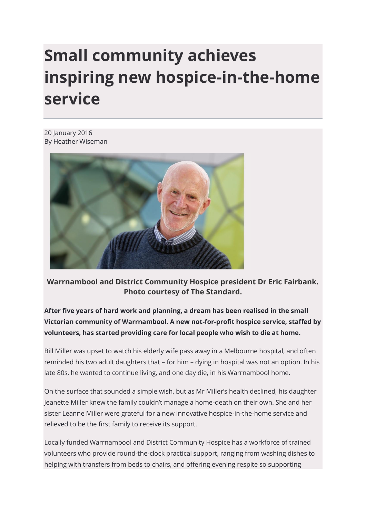## **Small community achieves inspiring new hospice-in-the-home service**

20 January 2016 By Heather Wiseman



**Warrnambool and District Community Hospice president Dr Eric Fairbank. Photo courtesy of The Standard.**

**After five years of hard work and planning, a dream has been realised in the small Victorian community of Warrnambool. A new not-for-profit hospice service, staffed by volunteers, has started providing care for local people who wish to die at home.**

Bill Miller was upset to watch his elderly wife pass away in a Melbourne hospital, and often reminded his two adult daughters that – for him – dying in hospital was not an option. In his late 80s, he wanted to continue living, and one day die, in his Warrnambool home.

On the surface that sounded a simple wish, but as Mr Miller's health declined, his daughter Jeanette Miller knew the family couldn't manage a home-death on their own. She and her sister Leanne Miller were grateful for a new innovative hospice-in-the-home service and relieved to be the first family to receive its support.

Locally funded Warrnambool and District Community Hospice has a workforce of trained volunteers who provide round-the-clock practical support, ranging from washing dishes to helping with transfers from beds to chairs, and offering evening respite so supporting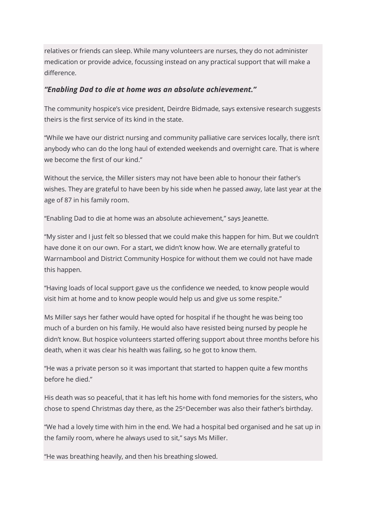relatives or friends can sleep. While many volunteers are nurses, they do not administer medication or provide advice, focussing instead on any practical support that will make a difference.

## *"Enabling Dad to die at home was an absolute achievement."*

The community hospice's vice president, Deirdre Bidmade, says extensive research suggests theirs is the first service of its kind in the state.

"While we have our district nursing and community palliative care services locally, there isn't anybody who can do the long haul of extended weekends and overnight care. That is where we become the first of our kind."

Without the service, the Miller sisters may not have been able to honour their father's wishes. They are grateful to have been by his side when he passed away, late last year at the age of 87 in his family room.

"Enabling Dad to die at home was an absolute achievement," says Jeanette.

"My sister and I just felt so blessed that we could make this happen for him. But we couldn't have done it on our own. For a start, we didn't know how. We are eternally grateful to Warrnambool and District Community Hospice for without them we could not have made this happen.

"Having loads of local support gave us the confidence we needed, to know people would visit him at home and to know people would help us and give us some respite."

Ms Miller says her father would have opted for hospital if he thought he was being too much of a burden on his family. He would also have resisted being nursed by people he didn't know. But hospice volunteers started offering support about three months before his death, when it was clear his health was failing, so he got to know them.

"He was a private person so it was important that started to happen quite a few months before he died."

His death was so peaceful, that it has left his home with fond memories for the sisters, who chose to spend Christmas day there, as the 25<sup>th</sup>December was also their father's birthday.

"We had a lovely time with him in the end. We had a hospital bed organised and he sat up in the family room, where he always used to sit," says Ms Miller.

"He was breathing heavily, and then his breathing slowed.